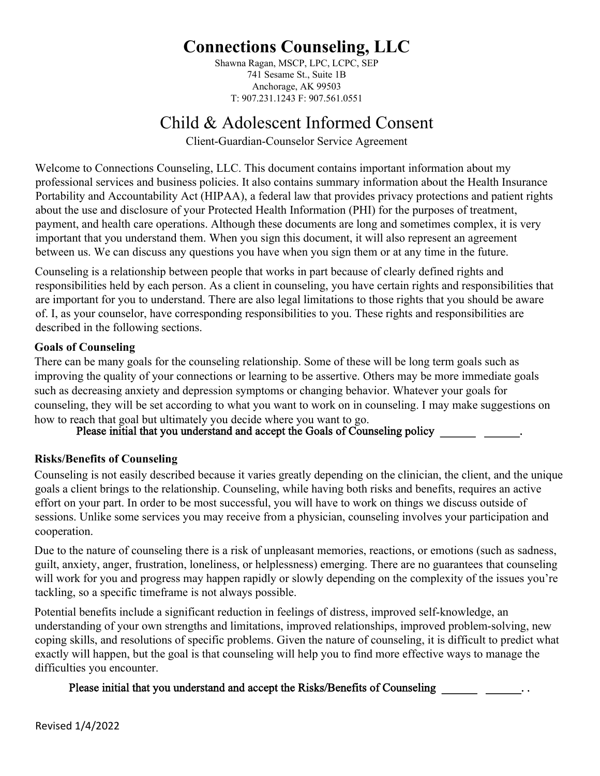Shawna Ragan, MSCP, LPC, LCPC, SEP 741 Sesame St., Suite 1B Anchorage, AK 99503 T: 907.231.1243 F: 907.561.0551

## Child & Adolescent Informed Consent

Client-Guardian-Counselor Service Agreement

Welcome to Connections Counseling, LLC. This document contains important information about my professional services and business policies. It also contains summary information about the Health Insurance Portability and Accountability Act (HIPAA), a federal law that provides privacy protections and patient rights about the use and disclosure of your Protected Health Information (PHI) for the purposes of treatment, payment, and health care operations. Although these documents are long and sometimes complex, it is very important that you understand them. When you sign this document, it will also represent an agreement between us. We can discuss any questions you have when you sign them or at any time in the future.

Counseling is a relationship between people that works in part because of clearly defined rights and responsibilities held by each person. As a client in counseling, you have certain rights and responsibilities that are important for you to understand. There are also legal limitations to those rights that you should be aware of. I, as your counselor, have corresponding responsibilities to you. These rights and responsibilities are described in the following sections.

## **Goals of Counseling**

There can be many goals for the counseling relationship. Some of these will be long term goals such as improving the quality of your connections or learning to be assertive. Others may be more immediate goals such as decreasing anxiety and depression symptoms or changing behavior. Whatever your goals for counseling, they will be set according to what you want to work on in counseling. I may make suggestions on how to reach that goal but ultimately you decide where you want to go.<br>Please initial that you understand and accept the Goals of Counseling policy

## **Risks/Benefits of Counseling**

Counseling is not easily described because it varies greatly depending on the clinician, the client, and the unique goals a client brings to the relationship. Counseling, while having both risks and benefits, requires an active effort on your part. In order to be most successful, you will have to work on things we discuss outside of sessions. Unlike some services you may receive from a physician, counseling involves your participation and cooperation.

Due to the nature of counseling there is a risk of unpleasant memories, reactions, or emotions (such as sadness, guilt, anxiety, anger, frustration, loneliness, or helplessness) emerging. There are no guarantees that counseling will work for you and progress may happen rapidly or slowly depending on the complexity of the issues you're tackling, so a specific timeframe is not always possible.

Potential benefits include a significant reduction in feelings of distress, improved self-knowledge, an understanding of your own strengths and limitations, improved relationships, improved problem-solving, new coping skills, and resolutions of specific problems. Given the nature of counseling, it is difficult to predict what exactly will happen, but the goal is that counseling will help you to find more effective ways to manage the difficulties you encounter.

## Please initial that you understand and accept the Risks/Benefits of Counseling \_\_\_\_\_\_\_\_\_\_\_\_\_\_\_......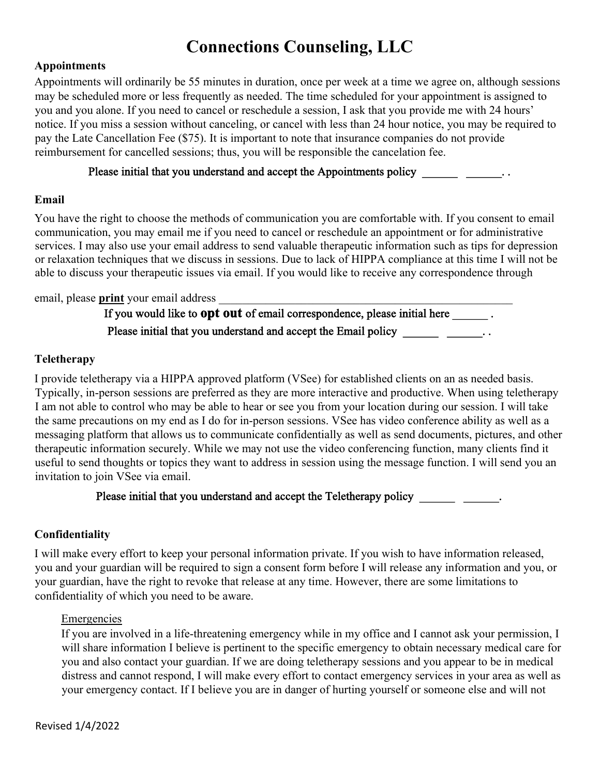### **Appointments**

Appointments will ordinarily be 55 minutes in duration, once per week at a time we agree on, although sessions may be scheduled more or less frequently as needed. The time scheduled for your appointment is assigned to you and you alone. If you need to cancel or reschedule a session, I ask that you provide me with 24 hours' notice. If you miss a session without canceling, or cancel with less than 24 hour notice, you may be required to pay the Late Cancellation Fee (\$75). It is important to note that insurance companies do not provide reimbursement for cancelled sessions; thus, you will be responsible the cancelation fee.

## Please initial that you understand and accept the Appointments policy \_\_\_\_\_\_\_\_\_\_\_\_\_\_\_..

### **Email**

You have the right to choose the methods of communication you are comfortable with. If you consent to email communication, you may email me if you need to cancel or reschedule an appointment or for administrative services. I may also use your email address to send valuable therapeutic information such as tips for depression or relaxation techniques that we discuss in sessions. Due to lack of HIPPA compliance at this time I will not be able to discuss your therapeutic issues via email. If you would like to receive any correspondence through

### email, please **print** your email address

If you would like to **opt out** of email correspondence, please initial here . Please initial that you understand and accept the Email policy  $\frac{1}{\sqrt{1-\frac{1}{\sqrt{1-\frac{1}{\sqrt{1-\frac{1}{\sqrt{1-\frac{1}{\sqrt{1-\frac{1}{\sqrt{1-\frac{1}{\sqrt{1-\frac{1}{\sqrt{1-\frac{1}{\sqrt{1-\frac{1}{\sqrt{1-\frac{1}{\sqrt{1-\frac{1}{\sqrt{1-\frac{1}{\sqrt{1-\frac{1}{\sqrt{1-\frac{1}{\sqrt{1-\frac{1}{\sqrt{1-\frac{1}{\sqrt{1-\frac{1$ 

## **Teletherapy**

I provide teletherapy via a HIPPA approved platform (VSee) for established clients on an as needed basis. Typically, in-person sessions are preferred as they are more interactive and productive. When using teletherapy I am not able to control who may be able to hear or see you from your location during our session. I will take the same precautions on my end as I do for in-person sessions. VSee has video conference ability as well as a messaging platform that allows us to communicate confidentially as well as send documents, pictures, and other therapeutic information securely. While we may not use the video conferencing function, many clients find it useful to send thoughts or topics they want to address in session using the message function. I will send you an invitation to join VSee via email.

## Please initial that you understand and accept the Teletherapy policy \_\_\_\_\_\_\_\_\_\_\_\_\_.

## **Confidentiality**

I will make every effort to keep your personal information private. If you wish to have information released, you and your guardian will be required to sign a consent form before I will release any information and you, or your guardian, have the right to revoke that release at any time. However, there are some limitations to confidentiality of which you need to be aware.

#### **Emergencies**

If you are involved in a life-threatening emergency while in my office and I cannot ask your permission, I will share information I believe is pertinent to the specific emergency to obtain necessary medical care for you and also contact your guardian. If we are doing teletherapy sessions and you appear to be in medical distress and cannot respond, I will make every effort to contact emergency services in your area as well as your emergency contact. If I believe you are in danger of hurting yourself or someone else and will not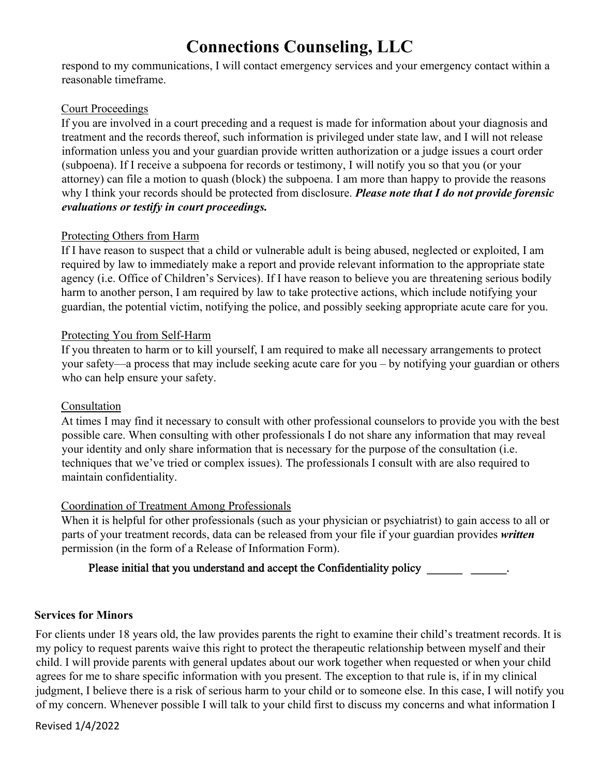respond to my communications, I will contact emergency services and your emergency contact within a reasonable timeframe.

### Court Proceedings

If you are involved in a court preceding and a request is made for information about your diagnosis and treatment and the records thereof, such information is privileged under state law, and I will not release information unless you and your guardian provide written authorization or a judge issues a court order (subpoena). If I receive a subpoena for records or testimony, I will notify you so that you (or your attorney) can file a motion to quash (block) the subpoena. I am more than happy to provide the reasons why I think your records should be protected from disclosure. *Please note that I do not provide forensic evaluations or testify in court proceedings.* 

## Protecting Others from Harm

If I have reason to suspect that a child or vulnerable adult is being abused, neglected or exploited, I am required by law to immediately make a report and provide relevant information to the appropriate state agency (i.e. Office of Children's Services). If I have reason to believe you are threatening serious bodily harm to another person, I am required by law to take protective actions, which include notifying your guardian, the potential victim, notifying the police, and possibly seeking appropriate acute care for you.

## Protecting You from Self-Harm

If you threaten to harm or to kill yourself, I am required to make all necessary arrangements to protect your safety—a process that may include seeking acute care for you – by notifying your guardian or others who can help ensure your safety.

## Consultation

At times I may find it necessary to consult with other professional counselors to provide you with the best possible care. When consulting with other professionals I do not share any information that may reveal your identity and only share information that is necessary for the purpose of the consultation (i.e. techniques that we've tried or complex issues). The professionals I consult with are also required to maintain confidentiality.

## Coordination of Treatment Among Professionals

When it is helpful for other professionals (such as your physician or psychiatrist) to gain access to all or parts of your treatment records, data can be released from your file if your guardian provides *written* permission (in the form of a Release of Information Form).

## Please initial that you understand and accept the Confidentiality policy \_\_\_\_\_\_\_\_\_\_\_\_\_\_\_\_\_\_.

## **Services for Minors**

For clients under 18 years old, the law provides parents the right to examine their child's treatment records. It is my policy to request parents waive this right to protect the therapeutic relationship between myself and their child. I will provide parents with general updates about our work together when requested or when your child agrees for me to share specific information with you present. The exception to that rule is, if in my clinical judgment, I believe there is a risk of serious harm to your child or to someone else. In this case, I will notify you of my concern. Whenever possible I will talk to your child first to discuss my concerns and what information I

Revised 1/4/2022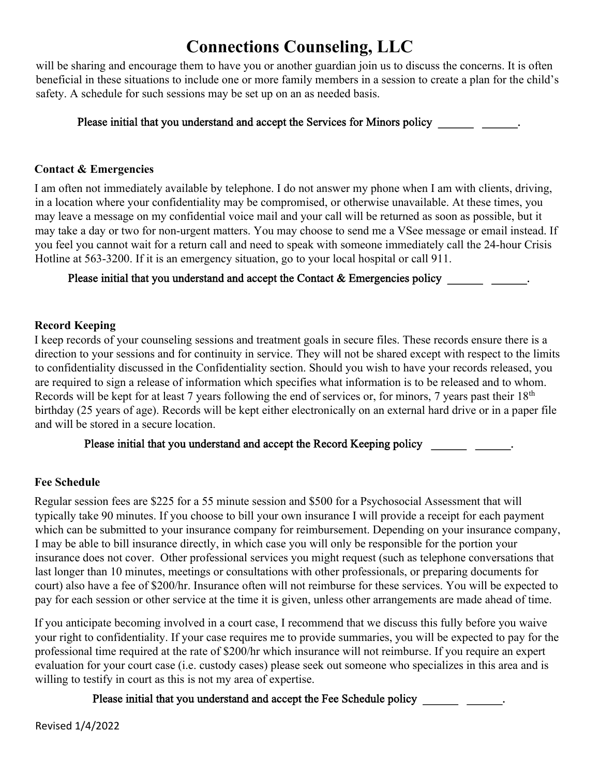will be sharing and encourage them to have you or another guardian join us to discuss the concerns. It is often beneficial in these situations to include one or more family members in a session to create a plan for the child's safety. A schedule for such sessions may be set up on an as needed basis.

## Please initial that you understand and accept the Services for Minors policy \_\_\_\_\_\_\_\_\_\_\_\_\_\_\_\_\_.

### **Contact & Emergencies**

I am often not immediately available by telephone. I do not answer my phone when I am with clients, driving, in a location where your confidentiality may be compromised, or otherwise unavailable. At these times, you may leave a message on my confidential voice mail and your call will be returned as soon as possible, but it may take a day or two for non-urgent matters. You may choose to send me a VSee message or email instead. If you feel you cannot wait for a return call and need to speak with someone immediately call the 24-hour Crisis Hotline at 563-3200. If it is an emergency situation, go to your local hospital or call 911.

## Please initial that you understand and accept the Contact & Emergencies policy \_\_\_\_\_\_\_\_\_\_\_\_\_\_\_\_\_\_.

### **Record Keeping**

I keep records of your counseling sessions and treatment goals in secure files. These records ensure there is a direction to your sessions and for continuity in service. They will not be shared except with respect to the limits to confidentiality discussed in the Confidentiality section. Should you wish to have your records released, you are required to sign a release of information which specifies what information is to be released and to whom. Records will be kept for at least 7 years following the end of services or, for minors, 7 years past their 18<sup>th</sup> birthday (25 years of age). Records will be kept either electronically on an external hard drive or in a paper file and will be stored in a secure location.

## Please initial that you understand and accept the Record Keeping policy \_\_\_\_\_\_\_\_\_\_\_\_\_\_\_\_\_\_\_.

## **Fee Schedule**

Regular session fees are \$225 for a 55 minute session and \$500 for a Psychosocial Assessment that will typically take 90 minutes. If you choose to bill your own insurance I will provide a receipt for each payment which can be submitted to your insurance company for reimbursement. Depending on your insurance company, I may be able to bill insurance directly, in which case you will only be responsible for the portion your insurance does not cover. Other professional services you might request (such as telephone conversations that last longer than 10 minutes, meetings or consultations with other professionals, or preparing documents for court) also have a fee of \$200/hr. Insurance often will not reimburse for these services. You will be expected to pay for each session or other service at the time it is given, unless other arrangements are made ahead of time.

If you anticipate becoming involved in a court case, I recommend that we discuss this fully before you waive your right to confidentiality. If your case requires me to provide summaries, you will be expected to pay for the professional time required at the rate of \$200/hr which insurance will not reimburse. If you require an expert evaluation for your court case (i.e. custody cases) please seek out someone who specializes in this area and is willing to testify in court as this is not my area of expertise.

## Please initial that you understand and accept the Fee Schedule policy \_\_\_\_\_\_\_\_\_\_\_\_\_\_\_\_\_\_\_\_\_\_\_.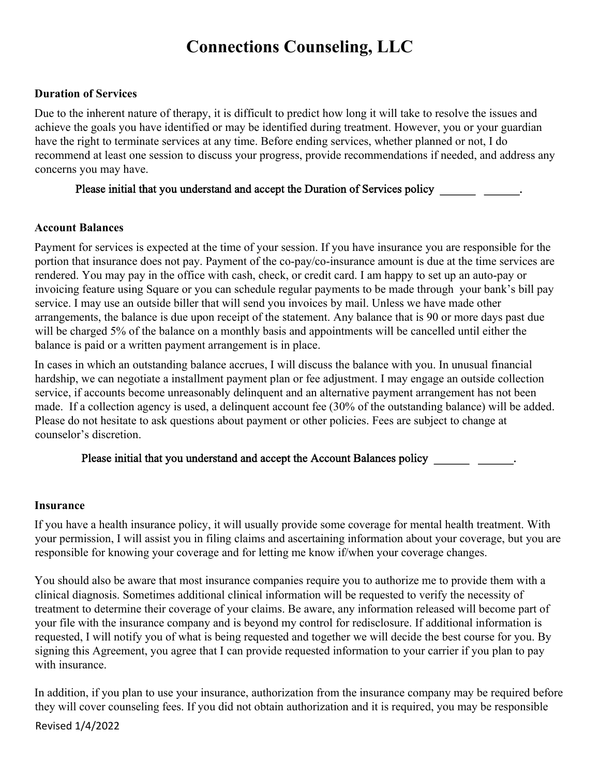### **Duration of Services**

Due to the inherent nature of therapy, it is difficult to predict how long it will take to resolve the issues and achieve the goals you have identified or may be identified during treatment. However, you or your guardian have the right to terminate services at any time. Before ending services, whether planned or not, I do recommend at least one session to discuss your progress, provide recommendations if needed, and address any concerns you may have.

## Please initial that you understand and accept the Duration of Services policy \_\_\_\_\_\_\_\_\_\_\_\_\_\_\_\_.

#### **Account Balances**

Payment for services is expected at the time of your session. If you have insurance you are responsible for the portion that insurance does not pay. Payment of the co-pay/co-insurance amount is due at the time services are rendered. You may pay in the office with cash, check, or credit card. I am happy to set up an auto-pay or invoicing feature using Square or you can schedule regular payments to be made through your bank's bill pay service. I may use an outside biller that will send you invoices by mail. Unless we have made other arrangements, the balance is due upon receipt of the statement. Any balance that is 90 or more days past due will be charged 5% of the balance on a monthly basis and appointments will be cancelled until either the balance is paid or a written payment arrangement is in place.

In cases in which an outstanding balance accrues, I will discuss the balance with you. In unusual financial hardship, we can negotiate a installment payment plan or fee adjustment. I may engage an outside collection service, if accounts become unreasonably delinquent and an alternative payment arrangement has not been made. If a collection agency is used, a delinquent account fee (30% of the outstanding balance) will be added. Please do not hesitate to ask questions about payment or other policies. Fees are subject to change at counselor's discretion.

## Please initial that you understand and accept the Account Balances policy \_\_\_\_\_\_\_\_\_\_\_\_\_\_\_.

#### **Insurance**

If you have a health insurance policy, it will usually provide some coverage for mental health treatment. With your permission, I will assist you in filing claims and ascertaining information about your coverage, but you are responsible for knowing your coverage and for letting me know if/when your coverage changes.

You should also be aware that most insurance companies require you to authorize me to provide them with a clinical diagnosis. Sometimes additional clinical information will be requested to verify the necessity of treatment to determine their coverage of your claims. Be aware, any information released will become part of your file with the insurance company and is beyond my control for redisclosure. If additional information is requested, I will notify you of what is being requested and together we will decide the best course for you. By signing this Agreement, you agree that I can provide requested information to your carrier if you plan to pay with insurance.

In addition, if you plan to use your insurance, authorization from the insurance company may be required before they will cover counseling fees. If you did not obtain authorization and it is required, you may be responsible

Revised 1/4/2022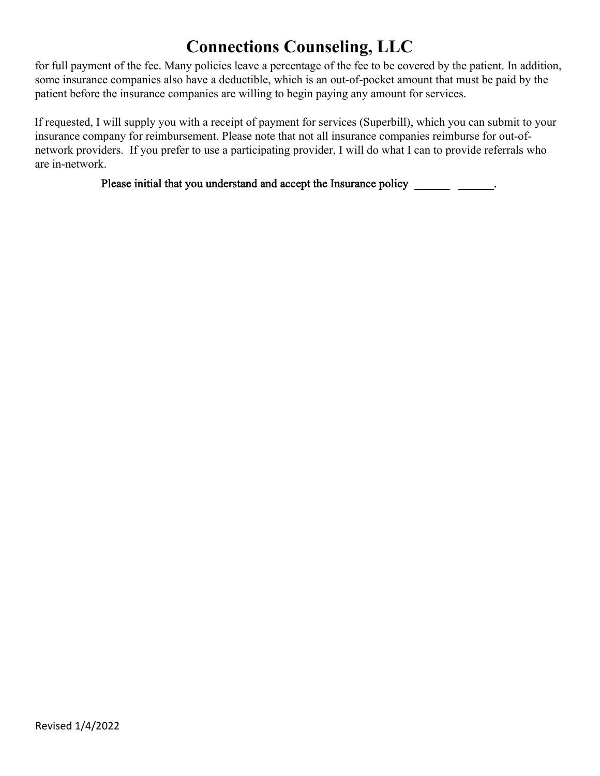for full payment of the fee. Many policies leave a percentage of the fee to be covered by the patient. In addition, some insurance companies also have a deductible, which is an out-of-pocket amount that must be paid by the patient before the insurance companies are willing to begin paying any amount for services.

If requested, I will supply you with a receipt of payment for services (Superbill), which you can submit to your insurance company for reimbursement. Please note that not all insurance companies reimburse for out-ofnetwork providers. If you prefer to use a participating provider, I will do what I can to provide referrals who are in-network.

Please initial that you understand and accept the Insurance policy \_\_\_\_\_\_\_\_\_\_\_\_\_\_\_\_\_\_.